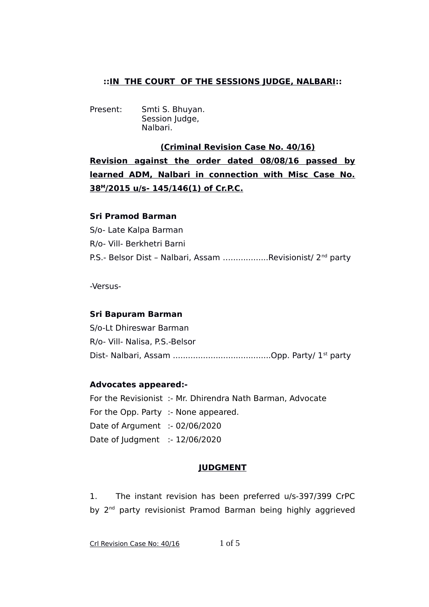# **::IN THE COURT OF THE SESSIONS JUDGE, NALBARI::**

Present: Smti S. Bhuyan. Session Judge, Nalbari.

 **(Criminal Revision Case No. 40/16) Revision against the order dated 08/08/16 passed by learned ADM, Nalbari in connection with Misc Case No. 38<sup>M</sup> /2015 u/s- 145/146(1) of Cr.P.C.**

## **Sri Pramod Barman**

S/o- Late Kalpa Barman R/o- Vill- Berkhetri Barni P.S.- Belsor Dist – Nalbari, Assam …...............Revisionist/ 2nd party

-Versus-

## **Sri Bapuram Barman**

S/o-Lt Dhireswar Barman R/o- Vill- Nalisa, P.S.-Belsor Dist- Nalbari, Assam .......................................Opp. Party/ 1st party

## **Advocates appeared:-**

For the Revisionist :- Mr. Dhirendra Nath Barman, Advocate For the Opp. Party :- None appeared. Date of Argument :- 02/06/2020 Date of Judgment :- 12/06/2020

## **JUDGMENT**

1. The instant revision has been preferred u/s-397/399 CrPC by 2<sup>nd</sup> party revisionist Pramod Barman being highly aggrieved

Crl Revision Case No:  $40/16$  1 of 5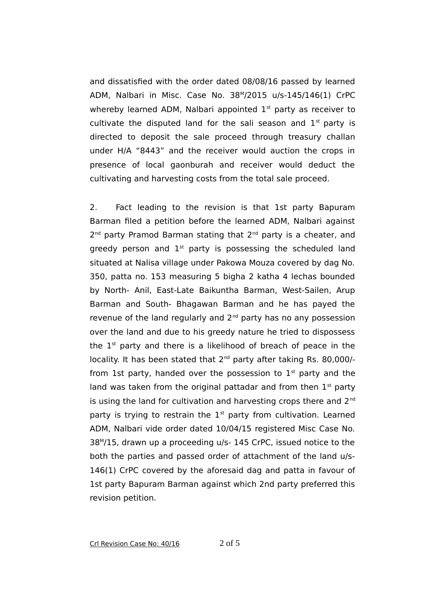and dissatisfied with the order dated 08/08/16 passed by learned ADM, Nalbari in Misc. Case No. 38<sup>M</sup> /2015 u/s-145/146(1) CrPC whereby learned ADM, Nalbari appointed  $1<sup>st</sup>$  party as receiver to cultivate the disputed land for the sali season and  $1<sup>st</sup>$  party is directed to deposit the sale proceed through treasury challan under H/A "8443" and the receiver would auction the crops in presence of local gaonburah and receiver would deduct the cultivating and harvesting costs from the total sale proceed.

2. Fact leading to the revision is that 1st party Bapuram Barman filed a petition before the learned ADM, Nalbari against 2<sup>nd</sup> party Pramod Barman stating that 2<sup>nd</sup> party is a cheater, and greedy person and  $1<sup>st</sup>$  party is possessing the scheduled land situated at Nalisa village under Pakowa Mouza covered by dag No. 350, patta no. 153 measuring 5 bigha 2 katha 4 lechas bounded by North- Anil, East-Late Baikuntha Barman, West-Sailen, Arup Barman and South- Bhagawan Barman and he has payed the revenue of the land regularly and  $2<sup>nd</sup>$  party has no any possession over the land and due to his greedy nature he tried to dispossess the  $1<sup>st</sup>$  party and there is a likelihood of breach of peace in the locality. It has been stated that 2<sup>nd</sup> party after taking Rs. 80,000/from 1st party, handed over the possession to  $1<sup>st</sup>$  party and the land was taken from the original pattadar and from then  $1<sup>st</sup>$  party is using the land for cultivation and harvesting crops there and  $2<sup>nd</sup>$ party is trying to restrain the  $1<sup>st</sup>$  party from cultivation. Learned ADM, Nalbari vide order dated 10/04/15 registered Misc Case No. 38<sup>M</sup> /15, drawn up a proceeding u/s- 145 CrPC, issued notice to the both the parties and passed order of attachment of the land u/s-146(1) CrPC covered by the aforesaid dag and patta in favour of 1st party Bapuram Barman against which 2nd party preferred this revision petition.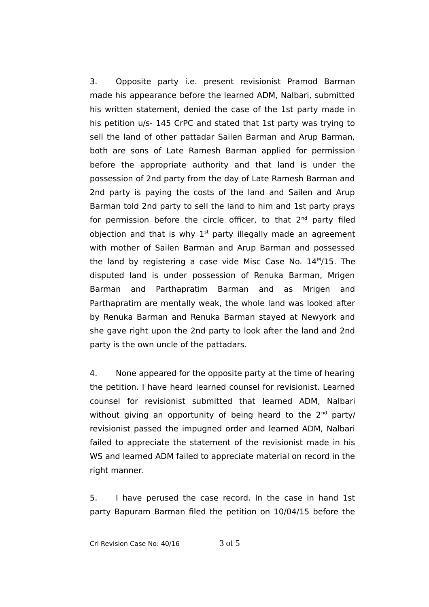3. Opposite party i.e. present revisionist Pramod Barman made his appearance before the learned ADM, Nalbari, submitted his written statement, denied the case of the 1st party made in his petition u/s- 145 CrPC and stated that 1st party was trying to sell the land of other pattadar Sailen Barman and Arup Barman, both are sons of Late Ramesh Barman applied for permission before the appropriate authority and that land is under the possession of 2nd party from the day of Late Ramesh Barman and 2nd party is paying the costs of the land and Sailen and Arup Barman told 2nd party to sell the land to him and 1st party prays for permission before the circle officer, to that  $2^{nd}$  party filed objection and that is why  $1<sup>st</sup>$  party illegally made an agreement with mother of Sailen Barman and Arup Barman and possessed the land by registering a case vide Misc Case No. 14<sup>M</sup>/15. The disputed land is under possession of Renuka Barman, Mrigen Barman and Parthapratim Barman and as Mrigen and Parthapratim are mentally weak, the whole land was looked after by Renuka Barman and Renuka Barman stayed at Newyork and she gave right upon the 2nd party to look after the land and 2nd party is the own uncle of the pattadars.

4. None appeared for the opposite party at the time of hearing the petition. I have heard learned counsel for revisionist. Learned counsel for revisionist submitted that learned ADM, Nalbari without giving an opportunity of being heard to the  $2<sup>nd</sup>$  party/ revisionist passed the impugned order and learned ADM, Nalbari failed to appreciate the statement of the revisionist made in his WS and learned ADM failed to appreciate material on record in the right manner.

5. I have perused the case record. In the case in hand 1st party Bapuram Barman filed the petition on 10/04/15 before the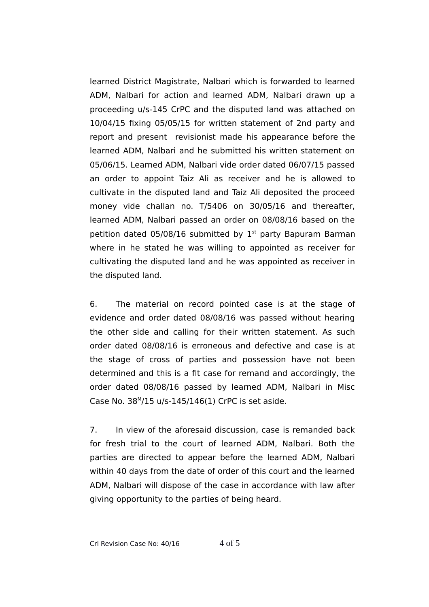learned District Magistrate, Nalbari which is forwarded to learned ADM, Nalbari for action and learned ADM, Nalbari drawn up a proceeding u/s-145 CrPC and the disputed land was attached on 10/04/15 fixing 05/05/15 for written statement of 2nd party and report and present revisionist made his appearance before the learned ADM, Nalbari and he submitted his written statement on 05/06/15. Learned ADM, Nalbari vide order dated 06/07/15 passed an order to appoint Taiz Ali as receiver and he is allowed to cultivate in the disputed land and Taiz Ali deposited the proceed money vide challan no. T/5406 on 30/05/16 and thereafter, learned ADM, Nalbari passed an order on 08/08/16 based on the petition dated 05/08/16 submitted by  $1<sup>st</sup>$  party Bapuram Barman where in he stated he was willing to appointed as receiver for cultivating the disputed land and he was appointed as receiver in the disputed land.

6. The material on record pointed case is at the stage of evidence and order dated 08/08/16 was passed without hearing the other side and calling for their written statement. As such order dated 08/08/16 is erroneous and defective and case is at the stage of cross of parties and possession have not been determined and this is a fit case for remand and accordingly, the order dated 08/08/16 passed by learned ADM, Nalbari in Misc Case No. 38<sup>M</sup> /15 u/s-145/146(1) CrPC is set aside.

7. In view of the aforesaid discussion, case is remanded back for fresh trial to the court of learned ADM, Nalbari. Both the parties are directed to appear before the learned ADM, Nalbari within 40 days from the date of order of this court and the learned ADM, Nalbari will dispose of the case in accordance with law after giving opportunity to the parties of being heard.